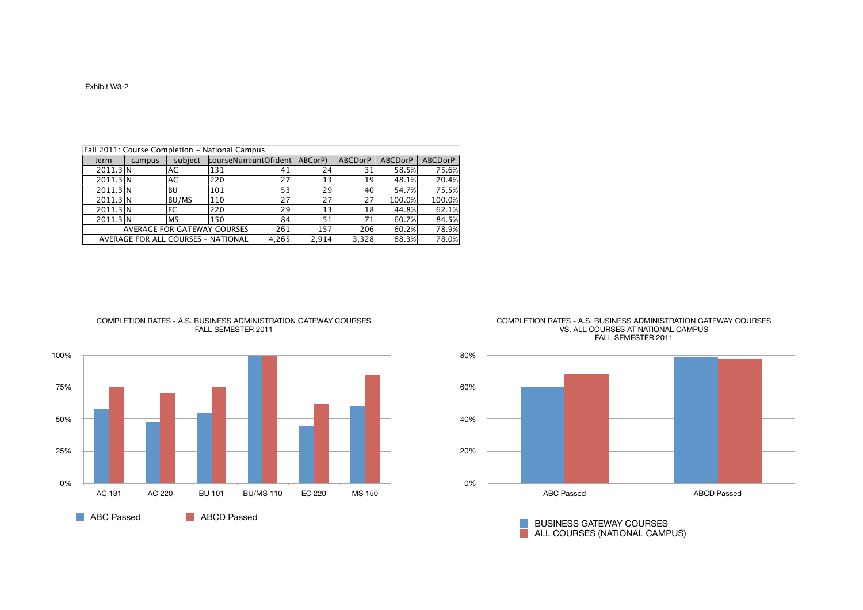|                                     |        |              | Fall 2011: Course Completion - National Campus |                      |         |                |                |                |
|-------------------------------------|--------|--------------|------------------------------------------------|----------------------|---------|----------------|----------------|----------------|
| term                                | campus | subject      |                                                | courseNumountOfident | ABCorP) | <b>ABCDorP</b> | <b>ABCDorP</b> | <b>ABCDorP</b> |
| 2011.3 N                            |        | <b>AC</b>    | 131                                            | 41                   | 24      | 31             | 58.5%          | 75.6%          |
| 2011.3 N                            |        | <b>AC</b>    | 220                                            | 27                   | 13      | 19             | 48.1%          | 70.4%          |
| 2011.3 N                            |        | BU           | 101                                            | 53                   | 29      | 40             | 54.7%          | 75.5%          |
| 2011.3 N                            |        | <b>BU/MS</b> | 110                                            | 27                   | 27      | 27             | 100.0%         | 100.0%         |
| 2011.3 N                            |        | EC           | 220                                            | 29                   | 13      | 18             | 44.8%          | 62.1%          |
| 2011.3 N                            |        | <b>MS</b>    | 150                                            | 84                   | 51      | 71             | 60.7%          | 84.5%          |
| <b>AVERAGE FOR GATEWAY COURSES!</b> |        |              |                                                | 261                  | 157     | 206            | 60.2%          | 78.9%          |
|                                     |        |              | AVERAGE FOR ALL COURSES - NATIONAL             | 4,265                | 2,914   | 3,328          | 68.3%          | 78.0%          |

## COMPLETION RATES - A.S. BUSINESS ADMINISTRATION GATEWAY COURSES FALL SEMESTER 2011



COMPLETION RATES - A.S. BUSINESS ADMINISTRATION GATEWAY COURSES VS. ALL COURSES AT NATIONAL CAMPUS FALL SEMESTER 2011



BUSINESS GATEWAY COURSES ALL COURSES (NATIONAL CAMPUS)

## Exhibit W3-2